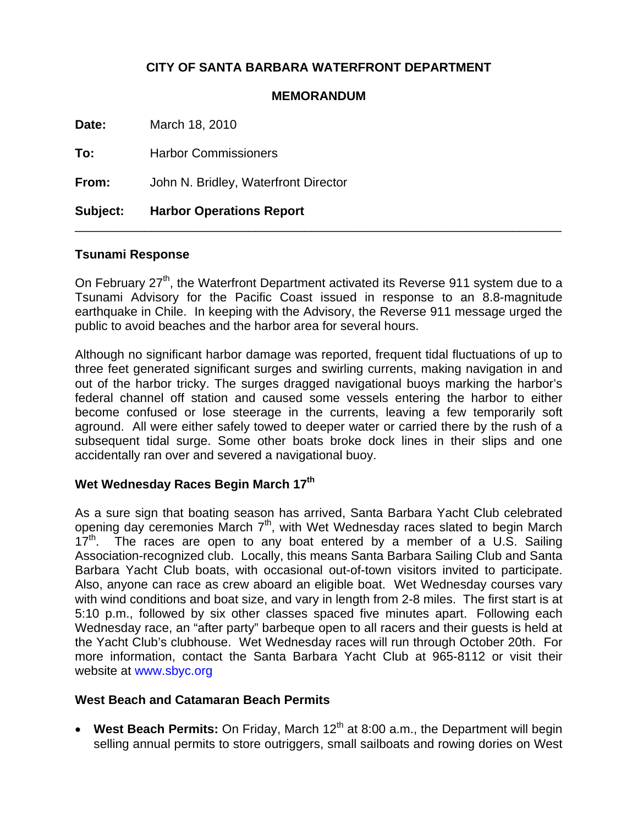# **CITY OF SANTA BARBARA WATERFRONT DEPARTMENT**

### **MEMORANDUM**

**Date:** March 18, 2010

**To:** Harbor Commissioners

**From:** John N. Bridley, Waterfront Director

**Subject: Harbor Operations Report** 

#### **Tsunami Response**

On February 27<sup>th</sup>, the Waterfront Department activated its Reverse 911 system due to a Tsunami Advisory for the Pacific Coast issued in response to an 8.8-magnitude earthquake in Chile. In keeping with the Advisory, the Reverse 911 message urged the public to avoid beaches and the harbor area for several hours.

\_\_\_\_\_\_\_\_\_\_\_\_\_\_\_\_\_\_\_\_\_\_\_\_\_\_\_\_\_\_\_\_\_\_\_\_\_\_\_\_\_\_\_\_\_\_\_\_\_\_\_\_\_\_\_\_\_\_\_\_\_\_\_\_\_\_\_\_\_\_

Although no significant harbor damage was reported, frequent tidal fluctuations of up to three feet generated significant surges and swirling currents, making navigation in and out of the harbor tricky. The surges dragged navigational buoys marking the harbor's federal channel off station and caused some vessels entering the harbor to either become confused or lose steerage in the currents, leaving a few temporarily soft aground. All were either safely towed to deeper water or carried there by the rush of a subsequent tidal surge. Some other boats broke dock lines in their slips and one accidentally ran over and severed a navigational buoy.

## **Wet Wednesday Races Begin March 17th**

As a sure sign that boating season has arrived, Santa Barbara Yacht Club celebrated opening day ceremonies March  $7<sup>th</sup>$ , with Wet Wednesday races slated to begin March  $17<sup>th</sup>$ . The races are open to any boat entered by a member of a U.S. Sailing Association-recognized club. Locally, this means Santa Barbara Sailing Club and Santa Barbara Yacht Club boats, with occasional out-of-town visitors invited to participate. Also, anyone can race as crew aboard an eligible boat. Wet Wednesday courses vary with wind conditions and boat size, and vary in length from 2-8 miles. The first start is at 5:10 p.m., followed by six other classes spaced five minutes apart. Following each Wednesday race, an "after party" barbeque open to all racers and their guests is held at the Yacht Club's clubhouse. Wet Wednesday races will run through October 20th. For more information, contact the Santa Barbara Yacht Club at 965-8112 or visit their website at [www.sbyc.org](http://www.sbyc.org/)

### **West Beach and Catamaran Beach Permits**

• West Beach Permits: On Friday, March 12<sup>th</sup> at 8:00 a.m., the Department will begin selling annual permits to store outriggers, small sailboats and rowing dories on West